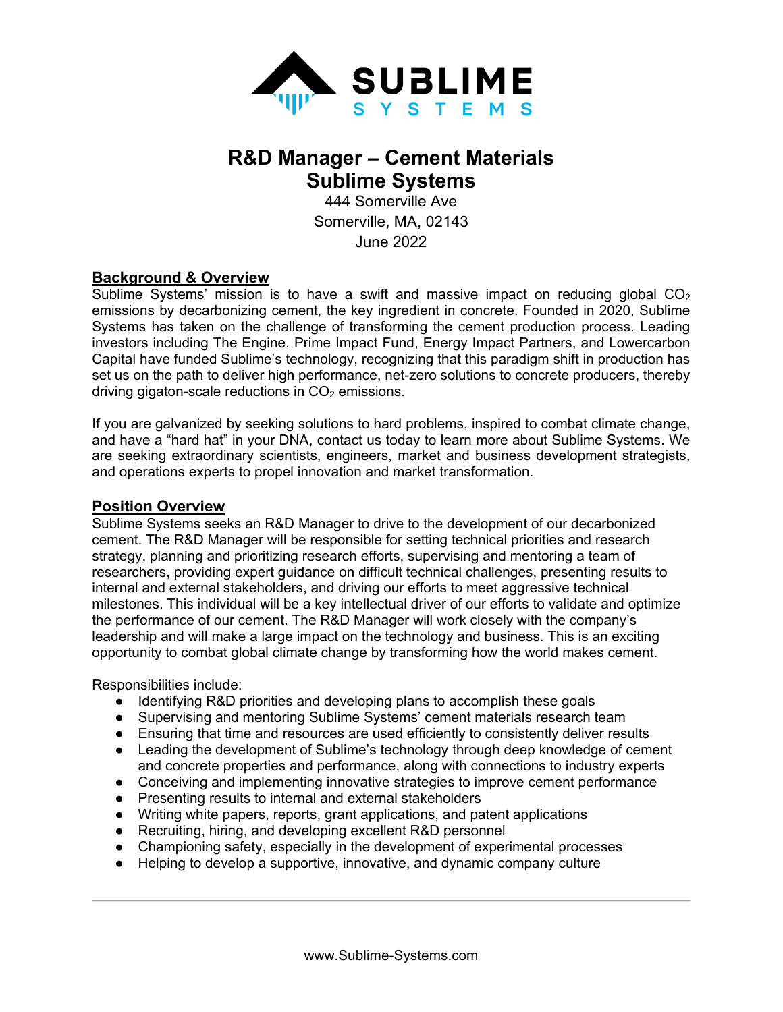

# **R&D Manager – Cement Materials Sublime Systems**

444 Somerville Ave Somerville, MA, 02143 June 2022

## **Background & Overview**

Sublime Systems' mission is to have a swift and massive impact on reducing global  $CO<sub>2</sub>$ emissions by decarbonizing cement, the key ingredient in concrete. Founded in 2020, Sublime Systems has taken on the challenge of transforming the cement production process. Leading investors including The Engine, Prime Impact Fund, Energy Impact Partners, and Lowercarbon Capital have funded Sublime's technology, recognizing that this paradigm shift in production has set us on the path to deliver high performance, net-zero solutions to concrete producers, thereby driving gigaton-scale reductions in  $CO<sub>2</sub>$  emissions.

If you are galvanized by seeking solutions to hard problems, inspired to combat climate change, and have a "hard hat" in your DNA, contact us today to learn more about Sublime Systems. We are seeking extraordinary scientists, engineers, market and business development strategists, and operations experts to propel innovation and market transformation.

#### **Position Overview**

Sublime Systems seeks an R&D Manager to drive to the development of our decarbonized cement. The R&D Manager will be responsible for setting technical priorities and research strategy, planning and prioritizing research efforts, supervising and mentoring a team of researchers, providing expert guidance on difficult technical challenges, presenting results to internal and external stakeholders, and driving our efforts to meet aggressive technical milestones. This individual will be a key intellectual driver of our efforts to validate and optimize the performance of our cement. The R&D Manager will work closely with the company's leadership and will make a large impact on the technology and business. This is an exciting opportunity to combat global climate change by transforming how the world makes cement.

Responsibilities include:

- Identifying R&D priorities and developing plans to accomplish these goals
- Supervising and mentoring Sublime Systems' cement materials research team
- Ensuring that time and resources are used efficiently to consistently deliver results
- Leading the development of Sublime's technology through deep knowledge of cement and concrete properties and performance, along with connections to industry experts
- Conceiving and implementing innovative strategies to improve cement performance
- Presenting results to internal and external stakeholders
- Writing white papers, reports, grant applications, and patent applications
- Recruiting, hiring, and developing excellent R&D personnel
- Championing safety, especially in the development of experimental processes
- Helping to develop a supportive, innovative, and dynamic company culture